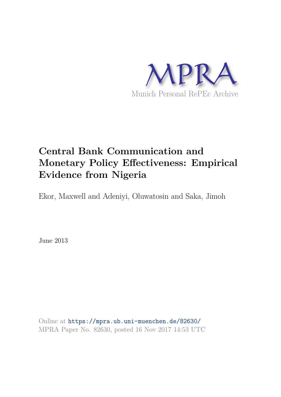

# **Central Bank Communication and Monetary Policy Effectiveness: Empirical Evidence from Nigeria**

Ekor, Maxwell and Adeniyi, Oluwatosin and Saka, Jimoh

June 2013

Online at https://mpra.ub.uni-muenchen.de/82630/ MPRA Paper No. 82630, posted 16 Nov 2017 14:53 UTC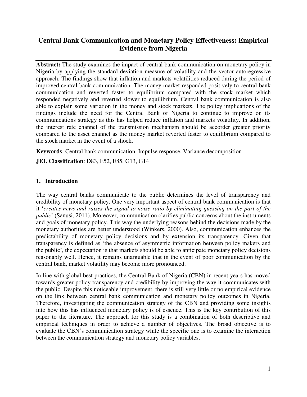## **Central Bank Communication and Monetary Policy Effectiveness: Empirical Evidence from Nigeria**

**Abstract:** The study examines the impact of central bank communication on monetary policy in Nigeria by applying the standard deviation measure of volatility and the vector autoregressive approach. The findings show that inflation and markets volatilities reduced during the period of improved central bank communication. The money market responded positively to central bank communication and reverted faster to equilibrium compared with the stock market which responded negatively and reverted slower to equilibrium. Central bank communication is also able to explain some variation in the money and stock markets. The policy implications of the findings include the need for the Central Bank of Nigeria to continue to improve on its communications strategy as this has helped reduce inflation and markets volatility. In addition, the interest rate channel of the transmission mechanism should be accorder greater priority compared to the asset channel as the money market reverted faster to equilibrium compared to the stock market in the event of a shock.

**Keywords**: Central bank communication, Impulse response, Variance decomposition

**JEL Classification**: D83, E52, E85, G13, G14

#### **1. Introduction**

The way central banks communicate to the public determines the level of transparency and credibility of monetary policy. One very important aspect of central bank communication is that it '*creates news and raises the signal-to-noise ratio by eliminating guessing on the part of the public*' (Sanusi, 2011). Moreover, communication clarifies public concerns about the instruments and goals of monetary policy. This way the underlying reasons behind the decisions made by the monetary authorities are better understood (Winkers, 2000). Also, communication enhances the predictability of monetary policy decisions and by extension its transparency. Given that transparency is defined as 'the absence of asymmetric information between policy makers and the public', the expectation is that markets should be able to anticipate monetary policy decisions reasonably well. Hence, it remains unarguable that in the event of poor communication by the central bank, market volatility may become more pronounced.

In line with global best practices, the Central Bank of Nigeria (CBN) in recent years has moved towards greater policy transparency and credibility by improving the way it communicates with the public. Despite this noticeable improvement, there is still very little or no empirical evidence on the link between central bank communication and monetary policy outcomes in Nigeria. Therefore, investigating the communication strategy of the CBN and providing some insights into how this has influenced monetary policy is of essence. This is the key contribution of this paper to the literature. The approach for this study is a combination of both descriptive and empirical techniques in order to achieve a number of objectives. The broad objective is to evaluate the CBN's communication strategy while the specific one is to examine the interaction between the communication strategy and monetary policy variables.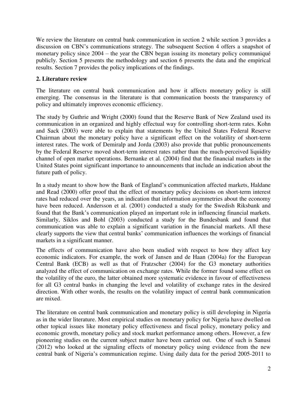We review the literature on central bank communication in section 2 while section 3 provides a discussion on CBN's communications strategy. The subsequent Section 4 offers a snapshot of monetary policy since 2004 – the year the CBN began issuing its monetary policy communiqué publicly. Section 5 presents the methodology and section 6 presents the data and the empirical results. Section 7 provides the policy implications of the findings.

#### **2. Literature review**

The literature on central bank communication and how it affects monetary policy is still emerging. The consensus in the literature is that communication boosts the transparency of policy and ultimately improves economic efficiency.

The study by Guthrie and Wright (2000) found that the Reserve Bank of New Zealand used its communication in an organized and highly effectual way for controlling short-term rates. Kohn and Sack (2003) were able to explain that statements by the United States Federal Reserve Chairman about the monetary policy have a significant effect on the volatility of short-term interest rates. The work of Demiralp and Jorda (2003) also provide that public pronouncements by the Federal Reserve moved short-term interest rates rather than the much-perceived liquidity channel of open market operations. Bernanke et al. (2004) find that the financial markets in the United States point significant importance to announcements that include an indication about the future path of policy.

In a study meant to show how the Bank of England's communication affected markets, Haldane and Read (2000) offer proof that the effect of monetary policy decisions on short-term interest rates had reduced over the years, an indication that information asymmetries about the economy have been reduced. Andersson et al. (2001) conducted a study for the Swedish Riksbank and found that the Bank's communication played an important role in influencing financial markets. Similarly, Siklos and Bohl (2003) conducted a study for the Bundesbank and found that communication was able to explain a significant variation in the financial markets. All these clearly supports the view that central banks' communication influences the workings of financial markets in a significant manner.

The effects of communication have also been studied with respect to how they affect key economic indicators. For example, the work of Jansen and de Haan (2004a) for the European Central Bank (ECB) as well as that of Fratzscher (2004) for the G3 monetary authorities analyzed the effect of communication on exchange rates. While the former found some effect on the volatility of the euro, the latter obtained more systematic evidence in favour of effectiveness for all G3 central banks in changing the level and volatility of exchange rates in the desired direction. With other words, the results on the volatility impact of central bank communication are mixed.

The literature on central bank communication and monetary policy is still developing in Nigeria as in the wider literature. Most empirical studies on monetary policy for Nigeria have dwelled on other topical issues like monetary policy effectiveness and fiscal policy, monetary policy and economic growth, monetary policy and stock market performance among others. However, a few pioneering studies on the current subject matter have been carried out. One of such is Sanusi (2012) who looked at the signaling effects of monetary policy using evidence from the new central bank of Nigeria's communication regime. Using daily data for the period 2005-2011 to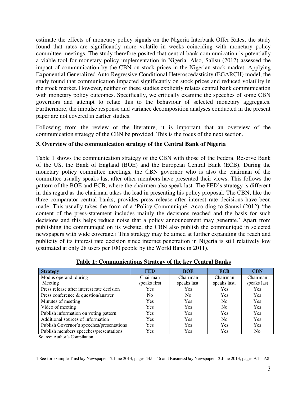estimate the effects of monetary policy signals on the Nigeria Interbank Offer Rates, the study found that rates are significantly more volatile in weeks coinciding with monetary policy committee meetings. The study therefore posited that central bank communication is potentially a viable tool for monetary policy implementation in Nigeria. Also, Salisu (2012) assessed the impact of communication by the CBN on stock prices in the Nigerian stock market. Applying Exponential Generalized Auto Regressive Conditional Heteroscedasticity (EGARCH) model, the study found that communication impacted significantly on stock prices and reduced volatility in the stock market. However, neither of these studies explicitly relates central bank communication with monetary policy outcomes. Specifically, we critically examine the speeches of some CBN governors and attempt to relate this to the behaviour of selected monetary aggregates. Furthermore, the impulse response and variance decomposition analyses conducted in the present paper are not covered in earlier studies.

Following from the review of the literature, it is important that an overview of the communication strategy of the CBN be provided. This is the focus of the next section.

#### **3. Overview of the communication strategy of the Central Bank of Nigeria**

Table 1 shows the communication strategy of the CBN with those of the Federal Reserve Bank of the US, the Bank of England (BOE) and the European Central Bank (ECB). During the monetary policy committee meetings, the CBN governor who is also the chairman of the committee usually speaks last after other members have presented their views. This follows the pattern of the BOE and ECB, where the chairmen also speak last. The FED's strategy is different in this regard as the chairman takes the lead in presenting his policy proposal. The CBN, like the three comparator central banks, provides press release after interest rate decisions have been made. This usually takes the form of a 'Policy Communiqué. According to Sanusi (2012) 'the content of the press-statement includes mainly the decisions reached and the basis for such decisions and this helps reduce noise that a policy announcement may generate.' Apart from publishing the communiqué on its website, the CBN also publish the communiqué in selected newspapers with wide coverage.1 This strategy may be aimed at further expanding the reach and publicity of its interest rate decision since internet penetration in Nigeria is still relatively low (estimated at only 28 users per 100 people by the World Bank in 2011).

| <b>Strategy</b>                            | <b>FED</b>     | <b>BOE</b>     | <b>ECB</b>     | <b>CBN</b>  |
|--------------------------------------------|----------------|----------------|----------------|-------------|
| Modus operandi during                      | Chairman       | Chairman       | Chairman       | Chairman    |
| Meeting                                    | speaks first   | speaks last.   | speaks last.   | speaks last |
| Press release after interest rate decision | Yes            | Yes            | Yes            | Yes         |
| Press conference & question/answer         | N <sub>0</sub> | N <sub>0</sub> | <b>Yes</b>     | Yes         |
| Minutes of meeting                         | <b>Yes</b>     | Yes            | N <sub>0</sub> | Yes         |
| Video of meeting                           | <b>Yes</b>     | Yes            | N <sub>0</sub> | Yes         |
| Publish information on voting pattern      | Yes            | Yes            | Yes            | Yes         |
| Additional sources of information          | Yes            | <b>Yes</b>     | N <sub>0</sub> | <b>Yes</b>  |
| Publish Governor's speeches/presentations  | Yes            | Yes            | Yes            | Yes         |
| Publish members speeches/presentations     | Yes            | Yes            | Yes            | No          |

**Table 1: Communications Strategy of the key Central Banks** 

Source: Author's Compilation

 $\overline{a}$ 1 See for example ThisDay Newspaper 12 June 2013, pages 44J – 46 and BusinessDay Newspaper 12 June 2013, pages A4 – A8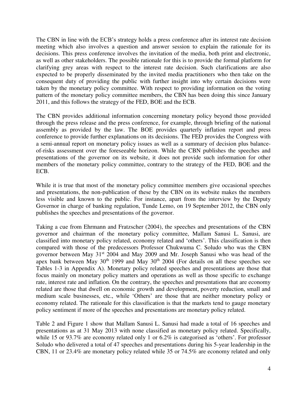The CBN in line with the ECB's strategy holds a press conference after its interest rate decision meeting which also involves a question and answer session to explain the rationale for its decisions. This press conference involves the invitation of the media, both print and electronic, as well as other stakeholders. The possible rationale for this is to provide the formal platform for clarifying grey areas with respect to the interest rate decision. Such clarifications are also expected to be properly disseminated by the invited media practitioners who then take on the consequent duty of providing the public with further insight into why certain decisions were taken by the monetary policy committee. With respect to providing information on the voting pattern of the monetary policy committee members, the CBN has been doing this since January 2011, and this follows the strategy of the FED, BOE and the ECB.

The CBN provides additional information concerning monetary policy beyond those provided through the press release and the press conference, for example, through briefing of the national assembly as provided by the law. The BOE provides quarterly inflation report and press conference to provide further explanations on its decisions. The FED provides the Congress with a semi-annual report on monetary policy issues as well as a summary of decision plus balanceof-risks assessment over the foreseeable horizon. While the CBN publishes the speeches and presentations of the governor on its website, it does not provide such information for other members of the monetary policy committee, contrary to the strategy of the FED, BOE and the ECB.

While it is true that most of the monetary policy committee members give occasional speeches and presentations, the non-publication of these by the CBN on its website makes the members less visible and known to the public. For instance, apart from the interview by the Deputy Governor in charge of banking regulation, Tunde Lemo, on 19 September 2012, the CBN only publishes the speeches and presentations of the governor.

Taking a cue from Ehrmann and Fratzscher (2004), the speeches and presentations of the CBN governor and chairman of the monetary policy committee, Mallam Sanusi L. Sanusi, are classified into monetary policy related, economy related and 'others'. This classification is then compared with those of the predecessors Professor Chukwuma C. Soludo who was the CBN governor between May 31st 2004 and May 2009 and Mr. Joseph Sanusi who was head of the apex bank between May  $30<sup>th</sup> 1999$  and May  $30<sup>th</sup> 2004$  (For details on all these speeches see Tables 1-3 in Appendix A). Monetary policy related speeches and presentations are those that focus mainly on monetary policy matters and operations as well as those specific to exchange rate, interest rate and inflation. On the contrary, the speeches and presentations that are economy related are those that dwell on economic growth and development, poverty reduction, small and medium scale businesses, etc., while 'Others' are those that are neither monetary policy or economy related. The rationale for this classification is that the markets tend to gauge monetary policy sentiment if more of the speeches and presentations are monetary policy related.

Table 2 and Figure 1 show that Mallam Sanusi L. Sanusi had made a total of 16 speeches and presentations as at 31 May 2013 with none classified as monetary policy related. Specifically, while 15 or 93.7% are economy related only 1 or 6.2% is categorised as 'others'. For professor Soludo who delivered a total of 47 speeches and presentations during his 5-year leadership in the CBN, 11 or 23.4% are monetary policy related while 35 or 74.5% are economy related and only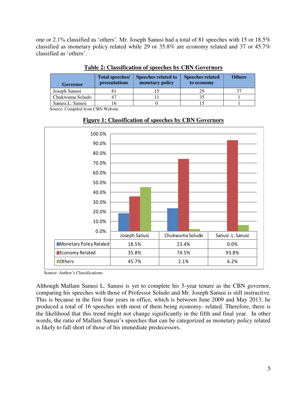one or 2.1% classified as 'others'. Mr. Joseph Sanusi had a total of 81 speeches with 15 or 18.5% classified as monetary policy related while 29 or 35.8% are economy related and 37 or 45.7% classified as 'others'.

| <b>Governor</b>  | Total speeches/<br>presentations | <b>Speeches related to</b><br>monetary policy | <b>Speeches related</b><br>to economy | <b>Others</b> |
|------------------|----------------------------------|-----------------------------------------------|---------------------------------------|---------------|
| Joseph Sanusi    |                                  |                                               | 29                                    |               |
| Chukwuma Soludo  |                                  |                                               |                                       |               |
| Sanusi.L. Sanusi |                                  |                                               |                                       |               |

#### **Table 2: Classification of speeches by CBN Governors**

Source: Compiled from CBN Website



## **Figure 1: Classification of speeches by CBN Governors**

Source: Author's Classifications

Although Mallam Sanusi L. Sanusi is yet to complete his 5-year tenure as the CBN governor, comparing his speeches with those of Professor Soludo and Mr. Joseph Sanusi is still instructive. This is because in the first four years in office, which is between June 2009 and May 2013, he produced a total of 16 speeches with most of them being economy- related. Therefore, there is the likelihood that this trend might not change significantly in the fifth and final year. In other words, the ratio of Mallam Sanusi's speeches that can be categorized as monetary policy related is likely to fall short of those of his immediate predecessors.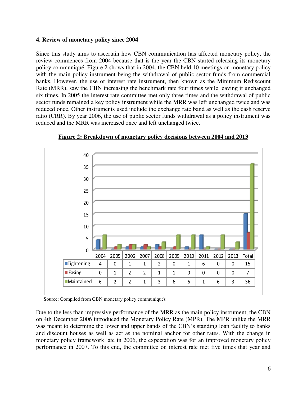#### **4. Review of monetary policy since 2004**

Since this study aims to ascertain how CBN communication has affected monetary policy, the review commences from 2004 because that is the year the CBN started releasing its monetary policy communiqué. Figure 2 shows that in 2004, the CBN held 10 meetings on monetary policy with the main policy instrument being the withdrawal of public sector funds from commercial banks. However, the use of interest rate instrument, then known as the Minimum Rediscount Rate (MRR), saw the CBN increasing the benchmark rate four times while leaving it unchanged six times. In 2005 the interest rate committee met only three times and the withdrawal of public sector funds remained a key policy instrument while the MRR was left unchanged twice and was reduced once. Other instruments used include the exchange rate band as well as the cash reserve ratio (CRR). By year 2006, the use of public sector funds withdrawal as a policy instrument was reduced and the MRR was increased once and left unchanged twice.



**Figure 2: Breakdown of monetary policy decisions between 2004 and 2013** 

Source: Compiled from CBN monetary policy communiqués

Due to the less than impressive performance of the MRR as the main policy instrument, the CBN on 4th December 2006 introduced the Monetary Policy Rate (MPR). The MPR unlike the MRR was meant to determine the lower and upper bands of the CBN's standing loan facility to banks and discount houses as well as act as the nominal anchor for other rates. With the change in monetary policy framework late in 2006, the expectation was for an improved monetary policy performance in 2007. To this end, the committee on interest rate met five times that year and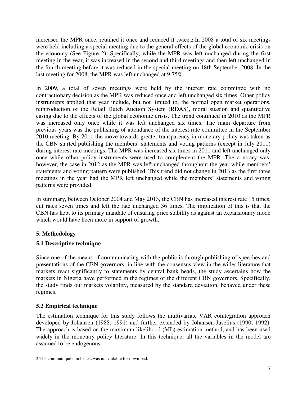increased the MPR once, retained it once and reduced it twice.2 In 2008 a total of six meetings were held including a special meeting due to the general effects of the global economic crisis on the economy (See Figure 2). Specifically, while the MPR was left unchanged during the first meeting in the year, it was increased in the second and third meetings and then left unchanged in the fourth meeting before it was reduced in the special meeting on 18th September 2008. In the last meeting for 2008, the MPR was left unchanged at 9.75%.

In 2009, a total of seven meetings were held by the interest rate committee with no contractionary decision as the MPR was reduced once and left unchanged six times. Other policy instruments applied that year include, but not limited to, the normal open market operations, reintroduction of the Retail Dutch Auction System (RDAS), moral suasion and quantitative easing due to the effects of the global economic crisis. The trend continued in 2010 as the MPR was increased only once while it was left unchanged six times. The main departure from previous years was the publishing of attendance of the interest rate committee in the September 2010 meeting. By 2011 the move towards greater transparency in monetary policy was taken as the CBN started publishing the members' statements and voting patterns (except in July 2011) during interest rate meetings. The MPR was increased six times in 2011 and left unchanged only once while other policy instruments were used to complement the MPR. The contrary was, however, the case in 2012 as the MPR was left unchanged throughout the year while members' statements and voting pattern were published. This trend did not change in 2013 as the first three meetings in the year had the MPR left unchanged while the members' statements and voting patterns were provided.

In summary, between October 2004 and May 2013, the CBN has increased interest rate 15 times, cut rates seven times and left the rate unchanged 36 times. The implication of this is that the CBN has kept to its primary mandate of ensuring price stability as against an expansionary mode which would have been more in support of growth.

#### **5. Methodology**

#### **5.1 Descriptive technique**

Since one of the means of communicating with the public is through publishing of speeches and presentations of the CBN governors, in line with the consensus view in the wider literature that markets react significantly to statements by central bank heads, the study ascertains how the markets in Nigeria have performed in the regimes of the different CBN governors. Specifically, the study finds out markets volatility, measured by the standard deviation, behaved under these regimes.

#### **5.2 Empirical technique**

The estimation technique for this study follows the multivariate VAR cointegration approach developed by Johansen (1988; 1991) and further extended by Johansen-Juselius (1990; 1992). The approach is based on the maximum likelihood (ML) estimation method, and has been used widely in the monetary policy literature. In this technique, all the variables in the model are assumed to be endogenous.

 $\overline{a}$ 2 The communiqué number 52 was unavailable for download.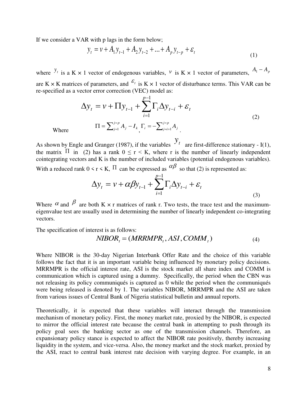If we consider a VAR with p lags in the form below;

$$
y_{t} = v + A_{1}y_{t-1} + A_{2}y_{t-2} + \dots + A_{p}y_{t-p} + \varepsilon_{t}
$$
\n(1)

where  $y_i$  is a K × 1 vector of endogenous variables, *v* is K × 1 vector of parameters,  $A_1 - A_p$ 

are K  $\times$  K matrices of parameters, and  $\mathcal{E}_t$  is K  $\times$  1 vector of disturbance terms. This VAR can be re-specified as a vector error correction (VEC) model as:

$$
\Delta y_{t} = v + \Pi y_{t-1} + \sum_{i=1}^{p-1} \Gamma_{i} \Delta y_{t-i} + \varepsilon_{t}
$$
  

$$
\Pi = \sum_{j=1}^{j=p} A_{j} - I_{k} \Gamma_{i} = -\sum_{j=i+1}^{j=p} A_{j}.
$$
 (2)

Where *<sup>k</sup>*

As shown by Engle and Granger (1987), if the variables  $y_t$  are first-difference stationary - I(1), the matrix  $\Pi$  in (2) has a rank  $0 \le r \le K$ , where r is the number of linearly independent cointegrating vectors and K is the number of included variables (potential endogenous variables).

With a reduced rank  $0 \le r \le K$ ,  $\Pi$  can be expressed as  $\alpha \beta$  so that (2) is represented as:

$$
\Delta y_t = v + \alpha \beta y_{t-1} + \sum_{i=1}^{p-1} \Gamma_i \Delta y_{t-i} + \varepsilon_t
$$
\n(3)

Where  $\alpha$  and  $\beta$  are both K  $\times$  r matrices of rank r. Two tests, the trace test and the maximumeigenvalue test are usually used in determining the number of linearly independent co-integrating vectors.

The specification of interest is as follows:

$$
NIBOR_{t} = (MRRMPR_{t}, ASI, COMM_{t})
$$
\n<sup>(4)</sup>

Where NIBOR is the 30-day Nigerian Interbank Offer Rate and the choice of this variable follows the fact that it is an important variable being influenced by monetary policy decisions. MRRMPR is the official interest rate, ASI is the stock market all share index and COMM is communication which is captured using a dummy. Specifically, the period when the CBN was not releasing its policy communiqués is captured as 0 while the period when the communiqués were being released is denoted by 1. The variables NIBOR, MRRMPR and the ASI are taken from various issues of Central Bank of Nigeria statistical bulletin and annual reports.

Theoretically, it is expected that these variables will interact through the transmission mechanism of monetary policy. First, the money market rate, proxied by the NIBOR, is expected to mirror the official interest rate because the central bank in attempting to push through its policy goal sees the banking sector as one of the transmission channels. Therefore, an expansionary policy stance is expected to affect the NIBOR rate positively, thereby increasing liquidity in the system, and vice-versa. Also, the money market and the stock market, proxied by the ASI, react to central bank interest rate decision with varying degree. For example, in an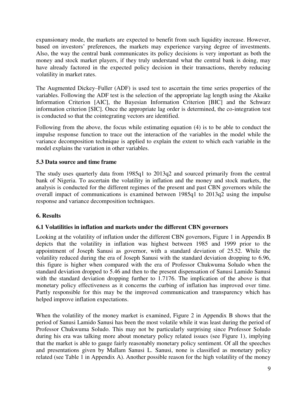expansionary mode, the markets are expected to benefit from such liquidity increase. However, based on investors' preferences, the markets may experience varying degree of investments. Also, the way the central bank communicates its policy decisions is very important as both the money and stock market players, if they truly understand what the central bank is doing, may have already factored in the expected policy decision in their transactions, thereby reducing volatility in market rates.

The Augmented Dickey–Fuller (ADF) is used test to ascertain the time series properties of the variables. Following the ADF test is the selection of the appropriate lag length using the Akaike Information Criterion [AIC], the Bayesian Information Criterion [BIC] and the Schwarz information criterion [SIC]. Once the appropriate lag order is determined, the co-integration test is conducted so that the cointegrating vectors are identified.

Following from the above, the focus while estimating equation (4) is to be able to conduct the impulse response function to trace out the interaction of the variables in the model while the variance decomposition technique is applied to explain the extent to which each variable in the model explains the variation in other variables.

#### **5.3 Data source and time frame**

The study uses quarterly data from 1985q1 to 2013q2 and sourced primarily from the central bank of Nigeria. To ascertain the volatility in inflation and the money and stock markets, the analysis is conducted for the different regimes of the present and past CBN governors while the overall impact of communications is examined between 1985q1 to 2013q2 using the impulse response and variance decomposition techniques.

#### **6. Results**

#### **6.1 Volatilities in inflation and markets under the different CBN governors**

Looking at the volatility of inflation under the different CBN governors, Figure 1 in Appendix B depicts that the volatility in inflation was highest between 1985 and 1999 prior to the appointment of Joseph Sanusi as governor, with a standard deviation of 25.52. While the volatility reduced during the era of Joseph Sanusi with the standard deviation dropping to 6.96, this figure is higher when compared with the era of Professor Chukwuma Soludo when the standard deviation dropped to 5.46 and then to the present dispensation of Sanusi Lamido Sanusi with the standard deviation dropping further to 1.7176. The implication of the above is that monetary policy effectiveness as it concerns the curbing of inflation has improved over time. Partly responsible for this may be the improved communication and transparency which has helped improve inflation expectations.

When the volatility of the money market is examined, Figure 2 in Appendix B shows that the period of Sanusi Lamido Sanusi has been the most volatile while it was least during the period of Professor Chukwuma Soludo. This may not be particularly surprising since Professor Soludo during his era was talking more about monetary policy related issues (see Figure 1), implying that the market is able to gauge fairly reasonably monetary policy sentiment. Of all the speeches and presentations given by Mallam Sanusi L. Sanusi, none is classified as monetary policy related (see Table 1 in Appendix A). Another possible reason for the high volatility of the money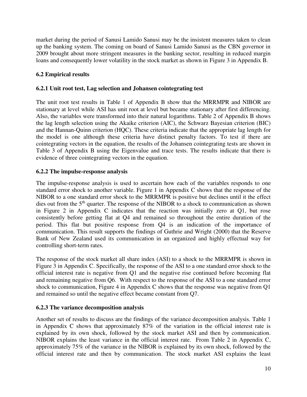market during the period of Sanusi Lamido Sanusi may be the insistent measures taken to clean up the banking system. The coming on board of Sanusi Lamido Sanusi as the CBN governor in 2009 brought about more stringent measures in the banking sector, resulting in reduced margin loans and consequently lower volatility in the stock market as shown in Figure 3 in Appendix B.

#### **6.2 Empirical results**

#### **6.2.1 Unit root test, Lag selection and Johansen cointegrating test**

The unit root test results in Table 1 of Appendix B show that the MRRMPR and NIBOR are stationary at level while ASI has unit root at level but became stationary after first differencing. Also, the variables were transformed into their natural logarithms. Table 2 of Appendix B shows the lag length selection using the Akaike criterion (AIC), the Schwarz Bayesian criterion (BIC) and the Hannan-Quinn criterion (HQC). These criteria indicate that the appropriate lag length for the model is one although these criteria have distinct penalty factors. To test if there are cointegrating vectors in the equation, the results of the Johansen cointegrating tests are shown in Table 3 of Appendix B using the Eigenvalue and trace tests. The results indicate that there is evidence of three cointegrating vectors in the equation.

#### **6.2.2 The impulse-response analysis**

The impulse-response analysis is used to ascertain how each of the variables responds to one standard error shock to another variable. Figure 1 in Appendix C shows that the response of the NIBOR to a one standard error shock to the MRRMPR is positive but declines until it the effect dies out from the  $5<sup>th</sup>$  quarter. The response of the NIBOR to a shock to communication as shown in Figure 2 in Appendix C indicates that the reaction was initially zero at Q1, but rose consistently before getting flat at Q4 and remained so throughout the entire duration of the period. This flat but positive response from Q4 is an indication of the importance of communication. This result supports the findings of Guthrie and Wright (2000) that the Reserve Bank of New Zealand used its communication in an organized and highly effectual way for controlling short-term rates.

The response of the stock market all share index (ASI) to a shock to the MRRMPR is shown in Figure 3 in Appendix C. Specifically, the response of the ASI to a one standard error shock to the official interest rate is negative from Q1 and the negative rise continued before becoming flat and remaining negative from Q6. With respect to the response of the ASI to a one standard error shock to communication, Figure 4 in Appendix C shows that the response was negative from Q1 and remained so until the negative effect became constant from Q7.

#### **6.2.3 The variance decomposition analysis**

Another set of results to discuss are the findings of the variance decomposition analysis. Table 1 in Appendix C shows that approximately 87% of the variation in the official interest rate is explained by its own shock, followed by the stock market ASI and then by communication. NIBOR explains the least variance in the official interest rate. From Table 2 in Appendix C, approximately 75% of the variance in the NIBOR is explained by its own shock, followed by the official interest rate and then by communication. The stock market ASI explains the least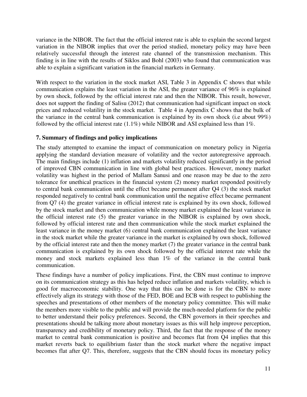variance in the NIBOR. The fact that the official interest rate is able to explain the second largest variation in the NIBOR implies that over the period studied, monetary policy may have been relatively successful through the interest rate channel of the transmission mechanism. This finding is in line with the results of Siklos and Bohl (2003) who found that communication was able to explain a significant variation in the financial markets in Germany.

With respect to the variation in the stock market ASI, Table 3 in Appendix C shows that while communication explains the least variation in the ASI, the greater variance of 96% is explained by own shock, followed by the official interest rate and then the NIBOR. This result, however, does not support the finding of Salisu (2012) that communication had significant impact on stock prices and reduced volatility in the stock market. Table 4 in Appendix C shows that the bulk of the variance in the central bank communication is explained by its own shock (i.e about 99%) followed by the official interest rate  $(1.1\%)$  while NIBOR and ASI explained less than 1%.

#### **7. Summary of findings and policy implications**

The study attempted to examine the impact of communication on monetary policy in Nigeria applying the standard deviation measure of volatility and the vector autoregressive approach. The main findings include (1) inflation and markets volatility reduced significantly in the period of improved CBN communication in line with global best practices. However, money market volatility was highest in the period of Mallam Sanusi and one reason may be due to the zero tolerance for unethical practices in the financial system (2) money market responded positively to central bank communication until the effect became permanent after Q4 (3) the stock market responded negatively to central bank communication until the negative effect became permanent from Q7 (4) the greater variance in official interest rate is explained by its own shock, followed by the stock market and then communication while money market explained the least variance in the official interest rate (5) the greater variance in the NIBOR is explained by own shock, followed by official interest rate and then communication while the stock market explained the least variance in the money market (6) central bank communication explained the least variance in the stock market while the greater variance in the market is explained by own shock, followed by the official interest rate and then the money market (7) the greater variance in the central bank communication is explained by its own shock followed by the official interest rate while the money and stock markets explained less than 1% of the variance in the central bank communication.

These findings have a number of policy implications. First, the CBN must continue to improve on its communication strategy as this has helped reduce inflation and markets volatility, which is good for macroeconomic stability. One way that this can be done is for the CBN to more effectively align its strategy with those of the FED, BOE and ECB with respect to publishing the speeches and presentations of other members of the monetary policy committee. This will make the members more visible to the public and will provide the much-needed platform for the public to better understand their policy preferences. Second, the CBN governors in their speeches and presentations should be talking more about monetary issues as this will help improve perception, transparency and credibility of monetary policy. Third, the fact that the response of the money market to central bank communication is positive and becomes flat from Q4 implies that this market reverts back to equilibrium faster than the stock market where the negative impact becomes flat after Q7. This, therefore, suggests that the CBN should focus its monetary policy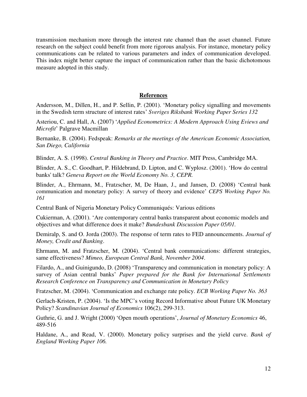transmission mechanism more through the interest rate channel than the asset channel. Future research on the subject could benefit from more rigorous analysis. For instance, monetary policy communications can be related to various parameters and index of communication developed. This index might better capture the impact of communication rather than the basic dichotomous measure adopted in this study.

#### **References**

Andersson, M., Dillen, H., and P. Sellin, P. (2001). 'Monetary policy signalling and movements in the Swedish term structure of interest rates' *Sveriges Riksbank Working Paper Series 132*

Asteriou, C. and Hall, A. (2007) '*Applied Econometrics: A Modern Approach Using Eviews and Microfit*' Palgrave Macmillan

Bernanke, B. (2004). Fedspeak: *Remarks at the meetings of the American Economic Association, San Diego, California* 

Blinder, A. S. (1998). *Central Banking in Theory and Practice*. MIT Press, Cambridge MA.

Blinder, A. S., C. Goodhart, P. Hildebrand, D. Lipton, and C. Wyplosz. (2001). 'How do central banks' talk? *Geneva Report on the World Economy No. 3, CEPR.* 

Blinder, A., Ehrmann, M., Fratzscher, M, De Haan, J., and Jansen, D. (2008) 'Central bank communication and monetary policy: A survey of theory and evidence' *CEPS Working Paper No. 161* 

Central Bank of Nigeria Monetary Policy Communiqués: Various editions

Cukierman, A. (2001). 'Are contemporary central banks transparent about economic models and objectives and what difference does it make? *Bundesbank Discussion Paper 05/01.* 

Demiralp, S. and O. Jorda (2003). The response of term rates to FED announcements. *Journal of Money, Credit and Banking*.

Ehrmann, M. and Fratzscher, M. (2004). 'Central bank communications: different strategies, same effectiveness? *Mimeo, European Central Bank, November 2004*.

Filardo, A., and Guinigundo, D. (2008) 'Transparency and communication in monetary policy: A survey of Asian central banks' *Paper prepared for the Bank for International Settlements Research Conference on Transparency and Communication in Monetary Policy*

Fratzscher, M. (2004). 'Communication and exchange rate policy. *ECB Working Paper No. 363* 

Gerlach-Kristen, P. (2004). 'Is the MPC's voting Record Informative about Future UK Monetary Policy? *Scandinavian Journal of Economics* 106(2), 299-313.

Guthrie, G. and J. Wright (2000) 'Open mouth operations', *Journal of Monetary Economics* 46, 489-516

Haldane, A., and Read, V. (2000). Monetary policy surprises and the yield curve. *Bank of England Working Paper 106.*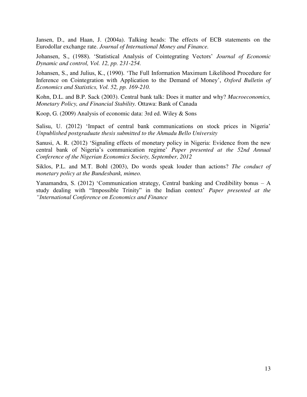Jansen, D., and Haan, J. (2004a). Talking heads: The effects of ECB statements on the Eurodollar exchange rate. *Journal of International Money and Finance.* 

Johansen, S., (1988). 'Statistical Analysis of Cointegrating Vectors' *Journal of Economic Dynamic and control, Vol. 12, pp. 231-254.* 

Johansen, S., and Julius, K., (1990). 'The Full Information Maximum Likelihood Procedure for Inference on Cointegration with Application to the Demand of Money', *Oxford Bulletin of Economics and Statistics, Vol. 52, pp. 169-210.* 

Kohn, D.L. and B.P. Sack (2003). Central bank talk: Does it matter and why? *Macroeconomics, Monetary Policy, and Financial Stability.* Ottawa: Bank of Canada

Koop, G. (2009) Analysis of economic data: 3rd ed. Wiley & Sons

Salisu, U. (2012) 'Impact of central bank communications on stock prices in Nigeria' *Unpublished postgraduate thesis submitted to the Ahmadu Bello University* 

Sanusi, A. R. (2012) 'Signaling effects of monetary policy in Nigeria: Evidence from the new central bank of Nigeria's communication regime' *Paper presented at the 52nd Annual Conference of the Nigerian Economics Society, September, 2012* 

Siklos, P.L. and M.T. Bohl (2003), Do words speak louder than actions? *The conduct of monetary policy at the Bundesbank, mimeo.* 

Yanamandra, S. (2012) 'Communication strategy, Central banking and Credibility bonus – A study dealing with "Impossible Trinity" in the Indian context' *Paper presented at the "International Conference on Economics and Finance*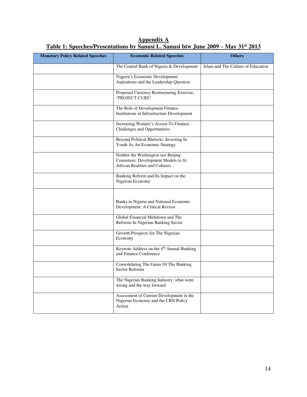| <b>Monetary Policy Related Speeches</b> | <b>Economic Related Speeches</b>                                                                             | <b>Others</b>                      |  |
|-----------------------------------------|--------------------------------------------------------------------------------------------------------------|------------------------------------|--|
|                                         | The Central Bank of Nigeria & Development                                                                    | Islam and The Culture of Education |  |
|                                         | Nigeria's Economic Development<br>Aspirations and the Leadership Question                                    |                                    |  |
|                                         | Proposed Currency Restructuring Exercise,<br>'PROJECT CURE'                                                  |                                    |  |
|                                         | The Role of Development Finance<br>Institutions in Infrastructure Development                                |                                    |  |
|                                         | Increasing Women's Access To Finance:<br>Challenges and Opportunities                                        |                                    |  |
|                                         | Beyond Political Rhetoric: Investing In<br>Youth As An Economic Strategy                                     |                                    |  |
|                                         | Neither the Washington nor Beijing<br>Consensus: Development Models to fit<br>African Realities and Cultures |                                    |  |
|                                         | Banking Reform and Its Impact on the<br>Nigerian Economy                                                     |                                    |  |
|                                         | Banks in Nigeria and National Economic<br>Development: A Critical Review                                     |                                    |  |
|                                         | Global Financial Meltdown and The<br>Reforms In Nigerian Banking Sector                                      |                                    |  |
|                                         | Growth Prospects for The Nigerian<br>Economy                                                                 |                                    |  |
|                                         | Keynote Address on the 4 <sup>th</sup> Annual Banking<br>and Finance Conference                              |                                    |  |
|                                         | Consolidating The Gains Of The Banking<br><b>Sector Reforms</b>                                              |                                    |  |
|                                         | The Nigerian Banking Industry: what went<br>wrong and the way forward                                        |                                    |  |
|                                         | Assessment of Current Development in the<br>Nigerian Economy and the CBN Policy<br>Action                    |                                    |  |

**Appendix A Table 1: Speeches/Presentations by Sanusi L. Sanusi btw June 2009 – May 31st 2013**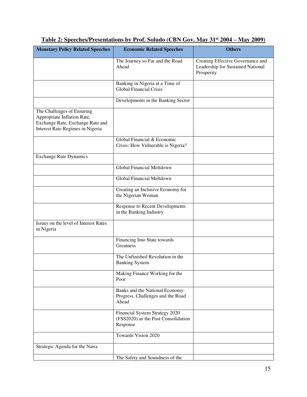| <b>Monetary Policy Related Speeches</b>                                                                                           | <b>Economic Related Speeches</b>                                                  | <b>Others</b>                                                                        |
|-----------------------------------------------------------------------------------------------------------------------------------|-----------------------------------------------------------------------------------|--------------------------------------------------------------------------------------|
|                                                                                                                                   | The Journey so Far and the Road<br>Ahead                                          | Creating Effective Governance and<br>Leadership for Sustained National<br>Prosperity |
|                                                                                                                                   | Banking in Nigeria at a Time of<br><b>Global Financial Crisis</b>                 |                                                                                      |
|                                                                                                                                   | Developments in the Banking Sector                                                |                                                                                      |
| The Challenges of Ensuring<br>Appropriate Inflation Rate,<br>Exchange Rate, Exchange Rate and<br>Interest Rate Regimes in Nigeria |                                                                                   |                                                                                      |
|                                                                                                                                   | Global Financial & Economic<br>Crisis: How Vulnerable is Nigeria?                 |                                                                                      |
| <b>Exchange Rate Dynamics</b>                                                                                                     |                                                                                   |                                                                                      |
|                                                                                                                                   | <b>Global Financial Meltdown</b>                                                  |                                                                                      |
|                                                                                                                                   | Global Financial Meltdown                                                         |                                                                                      |
|                                                                                                                                   | Creating an Inclusive Economy for<br>the Nigerian Woman                           |                                                                                      |
|                                                                                                                                   | Response to Recent Developments<br>in the Banking Industry                        |                                                                                      |
| Issues on the level of Interest Rates<br>in Nigeria                                                                               |                                                                                   |                                                                                      |
|                                                                                                                                   | Financing Imo State towards<br>Greatness                                          |                                                                                      |
|                                                                                                                                   | The Unfinished Revolution in the<br><b>Banking System</b>                         |                                                                                      |
|                                                                                                                                   | Making Finance Working for the<br>Poor                                            |                                                                                      |
|                                                                                                                                   | Banks and the National Economy:<br>Progress, Challenges and the Road<br>Ahead     |                                                                                      |
|                                                                                                                                   | Financial System Strategy 2020<br>(FSS2020) as the Post Consolidation<br>Response |                                                                                      |
|                                                                                                                                   | Towards Vision 2020                                                               |                                                                                      |
| Strategic Agenda for the Naira                                                                                                    |                                                                                   |                                                                                      |
|                                                                                                                                   | The Safety and Soundness of the                                                   |                                                                                      |

## **Table 2: Speeches/Presentations by Prof. Soludo (CBN Gov. May 31st 2004 – May 2009)**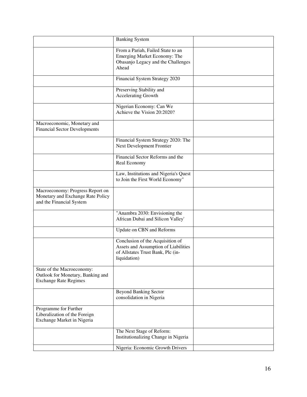|                                                                                                   | <b>Banking System</b>                                                                                                         |  |
|---------------------------------------------------------------------------------------------------|-------------------------------------------------------------------------------------------------------------------------------|--|
|                                                                                                   | From a Pariah, Failed State to an<br>Emerging Market Economy: The<br>Obasanjo Legacy and the Challenges<br>Ahead              |  |
|                                                                                                   | Financial System Strategy 2020                                                                                                |  |
|                                                                                                   | Preserving Stability and<br>Accelerating Growth                                                                               |  |
|                                                                                                   | Nigerian Economy: Can We<br>Achieve the Vision 20:2020?                                                                       |  |
| Macroeconomic, Monetary and<br><b>Financial Sector Developments</b>                               |                                                                                                                               |  |
|                                                                                                   | Financial System Strategy 2020: The<br>Next Development Frontier                                                              |  |
|                                                                                                   | Financial Sector Reforms and the<br>Real Economy                                                                              |  |
|                                                                                                   | Law, Institutions and Nigeria's Quest<br>to Join the First World Economy"                                                     |  |
| Macroeconomy: Progress Report on<br>Monetary and Exchange Rate Policy<br>and the Financial System |                                                                                                                               |  |
|                                                                                                   | "Anambra 2030: Envisioning the<br>African Dubai and Silicon Valley'                                                           |  |
|                                                                                                   | Update on CBN and Reforms                                                                                                     |  |
|                                                                                                   | Conclusion of the Acquisition of<br>Assets and Assumption of Liabilities<br>of Allstates Trust Bank, Plc (in-<br>liquidation) |  |
| State of the Macroeconomy:<br>Outlook for Monetary, Banking and<br><b>Exchange Rate Regimes</b>   |                                                                                                                               |  |
|                                                                                                   | <b>Beyond Banking Sector</b><br>consolidation in Nigeria                                                                      |  |
| Programme for Further<br>Liberalization of the Foreign<br>Exchange Market in Nigeria              |                                                                                                                               |  |
|                                                                                                   | The Next Stage of Reform:<br>Institutionalizing Change in Nigeria                                                             |  |
|                                                                                                   | Nigeria: Economic Growth Drivers                                                                                              |  |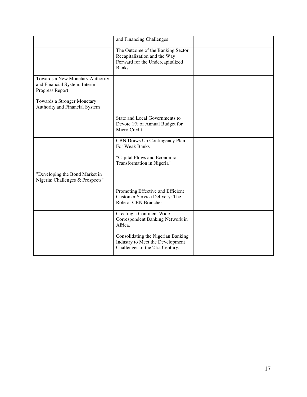|                                                                                      | and Financing Challenges                                                                                              |  |
|--------------------------------------------------------------------------------------|-----------------------------------------------------------------------------------------------------------------------|--|
|                                                                                      | The Outcome of the Banking Sector<br>Recapitalization and the Way<br>Forward for the Undercapitalized<br><b>Banks</b> |  |
| Towards a New Monetary Authority<br>and Financial System: Interim<br>Progress Report |                                                                                                                       |  |
| Towards a Stronger Monetary<br>Authority and Financial System                        |                                                                                                                       |  |
|                                                                                      | State and Local Governments to<br>Devote 1% of Annual Budget for<br>Micro Credit.                                     |  |
|                                                                                      | CBN Draws Up Contingency Plan<br>For Weak Banks                                                                       |  |
|                                                                                      | "Capital Flows and Economic<br>Transformation in Nigeria"                                                             |  |
| "Developing the Bond Market in<br>Nigeria: Challenges & Prospects"                   |                                                                                                                       |  |
|                                                                                      | Promoting Effective and Efficient<br>Customer Service Delivery: The<br>Role of CBN Branches                           |  |
|                                                                                      | Creating a Continent Wide<br>Correspondent Banking Network in<br>Africa.                                              |  |
|                                                                                      | Consolidating the Nigerian Banking<br>Industry to Meet the Development<br>Challenges of the 21st Century.             |  |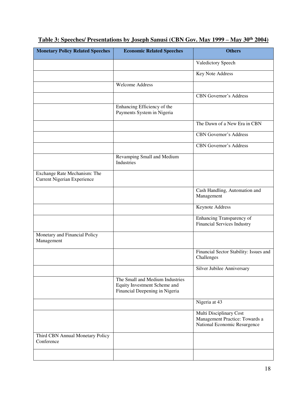| <b>Monetary Policy Related Speeches</b>                            | <b>Economic Related Speeches</b>                                                                  | <b>Others</b>                                                                             |
|--------------------------------------------------------------------|---------------------------------------------------------------------------------------------------|-------------------------------------------------------------------------------------------|
|                                                                    |                                                                                                   | Valedictory Speech                                                                        |
|                                                                    |                                                                                                   | Key Note Address                                                                          |
|                                                                    | <b>Welcome Address</b>                                                                            |                                                                                           |
|                                                                    |                                                                                                   | <b>CBN</b> Governor's Address                                                             |
|                                                                    | Enhancing Efficiency of the<br>Payments System in Nigeria                                         |                                                                                           |
|                                                                    |                                                                                                   | The Dawn of a New Era in CBN                                                              |
|                                                                    |                                                                                                   | <b>CBN Governor's Address</b>                                                             |
|                                                                    |                                                                                                   | CBN Governor's Address                                                                    |
|                                                                    | Revamping Small and Medium<br>Industries                                                          |                                                                                           |
| Exchange Rate Mechanism: The<br><b>Current Nigerian Experience</b> |                                                                                                   |                                                                                           |
|                                                                    |                                                                                                   | Cash Handling, Automation and<br>Management                                               |
|                                                                    |                                                                                                   | Keynote Address                                                                           |
|                                                                    |                                                                                                   | Enhancing Transparency of<br><b>Financial Services Industry</b>                           |
| Monetary and Financial Policy<br>Management                        |                                                                                                   |                                                                                           |
|                                                                    |                                                                                                   | Financial Sector Stability: Issues and<br>Challenges                                      |
|                                                                    |                                                                                                   | Silver Jubilee Anniversary                                                                |
|                                                                    | The Small and Medium Industries<br>Equity Investment Scheme and<br>Financial Deepening in Nigeria |                                                                                           |
|                                                                    |                                                                                                   | Nigeria at 43                                                                             |
|                                                                    |                                                                                                   | Multi Disciplinary Cost<br>Management Practice: Towards a<br>National Economic Resurgence |
| Third CBN Annual Monetary Policy<br>Conference                     |                                                                                                   |                                                                                           |
|                                                                    |                                                                                                   |                                                                                           |

## **Table 3: Speeches/ Presentations by Joseph Sanusi (CBN Gov. May 1999 – May 30th 2004)**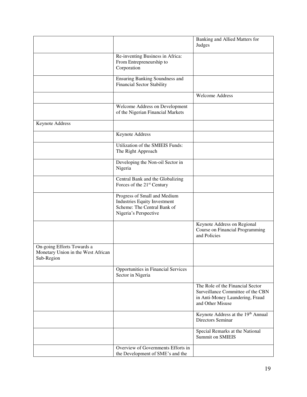|                                                                                |                                                                                                                             | Banking and Allied Matters for<br>Judges                                                                                     |
|--------------------------------------------------------------------------------|-----------------------------------------------------------------------------------------------------------------------------|------------------------------------------------------------------------------------------------------------------------------|
|                                                                                | Re-inventing Business in Africa:<br>From Entrepreneurship to<br>Corporation                                                 |                                                                                                                              |
|                                                                                | Ensuring Banking Soundness and<br><b>Financial Sector Stability</b>                                                         |                                                                                                                              |
|                                                                                |                                                                                                                             | <b>Welcome Address</b>                                                                                                       |
|                                                                                | Welcome Address on Development<br>of the Nigerian Financial Markets                                                         |                                                                                                                              |
| Keynote Address                                                                |                                                                                                                             |                                                                                                                              |
|                                                                                | Keynote Address                                                                                                             |                                                                                                                              |
|                                                                                | Utilization of the SMIEIS Funds:<br>The Right Approach                                                                      |                                                                                                                              |
|                                                                                | Developing the Non-oil Sector in<br>Nigeria                                                                                 |                                                                                                                              |
|                                                                                | Central Bank and the Globalizing<br>Forces of the 21 <sup>st</sup> Century                                                  |                                                                                                                              |
|                                                                                | Progress of Small and Medium<br><b>Industries Equity Investment</b><br>Scheme: The Central Bank of<br>Nigeria's Perspective |                                                                                                                              |
|                                                                                |                                                                                                                             | Keynote Address on Regional<br>Course on Financial Programming<br>and Policies                                               |
| On-going Efforts Towards a<br>Monetary Union in the West African<br>Sub-Region |                                                                                                                             |                                                                                                                              |
|                                                                                | <b>Opportunities in Financial Services</b><br>Sector in Nigeria                                                             |                                                                                                                              |
|                                                                                |                                                                                                                             | The Role of the Financial Sector<br>Surveillance Committee of the CBN<br>in Anti-Money Laundering, Fraud<br>and Other Misuse |
|                                                                                |                                                                                                                             | Keynote Address at the 19th Annual<br>Directors Seminar                                                                      |
|                                                                                |                                                                                                                             | Special Remarks at the National<br><b>Summit on SMIEIS</b>                                                                   |
|                                                                                | Overview of Governments Efforts in<br>the Development of SME's and the                                                      |                                                                                                                              |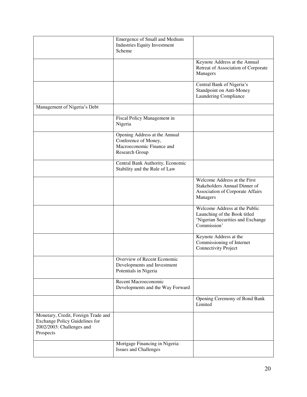|                                                                                                                        | Emergence of Small and Medium<br><b>Industries Equity Investment</b><br>Scheme                       |                                                                                                                   |
|------------------------------------------------------------------------------------------------------------------------|------------------------------------------------------------------------------------------------------|-------------------------------------------------------------------------------------------------------------------|
|                                                                                                                        |                                                                                                      | Keynote Address at the Annual<br>Retreat of Association of Corporate<br>Managers                                  |
|                                                                                                                        |                                                                                                      | Central Bank of Nigeria's<br>Standpoint on Anti-Money<br>Laundering Compliance                                    |
| Management of Nigeria's Debt                                                                                           |                                                                                                      |                                                                                                                   |
|                                                                                                                        | Fiscal Policy Management in<br>Nigeria                                                               |                                                                                                                   |
|                                                                                                                        | Opening Address at the Annual<br>Conference of Money,<br>Macroeconomic Finance and<br>Research Group |                                                                                                                   |
|                                                                                                                        | Central Bank Authority, Economic<br>Stability and the Rule of Law                                    |                                                                                                                   |
|                                                                                                                        |                                                                                                      | Welcome Address at the First<br>Stakeholders Annual Dinner of<br>Association of Corporate Affairs<br>Managers     |
|                                                                                                                        |                                                                                                      | Welcome Address at the Public<br>Launching of the Book titled<br>'Nigerian Securities and Exchange<br>Commission' |
|                                                                                                                        |                                                                                                      | Keynote Address at the<br>Commissioning of Internet<br>Connectivity Project                                       |
|                                                                                                                        | Overview of Recent Economic<br>Developments and Investment<br>Potentials in Nigeria                  |                                                                                                                   |
|                                                                                                                        | Recent Macroeconomic<br>Developments and the Way Forward                                             |                                                                                                                   |
|                                                                                                                        |                                                                                                      | Opening Ceremony of Bond Bank<br>Limited                                                                          |
| Monetary, Credit, Foreign Trade and<br><b>Exchange Policy Guidelines for</b><br>2002/2003: Challenges and<br>Prospects |                                                                                                      |                                                                                                                   |
|                                                                                                                        | Mortgage Financing in Nigeria:<br><b>Issues and Challenges</b>                                       |                                                                                                                   |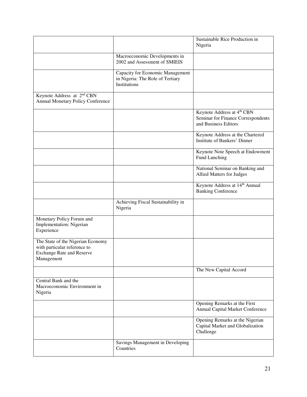|                                                                                                                     |                                                                                      | Sustainable Rice Production in<br>Nigeria                                                |
|---------------------------------------------------------------------------------------------------------------------|--------------------------------------------------------------------------------------|------------------------------------------------------------------------------------------|
|                                                                                                                     | Macroeconomic Developments in<br>2002 and Assessment of SMIEIS                       |                                                                                          |
|                                                                                                                     | Capacity for Economic Management<br>in Nigeria: The Role of Tertiary<br>Institutions |                                                                                          |
| Keynote Address at 2 <sup>nd</sup> CBN<br><b>Annual Monetary Policy Conference</b>                                  |                                                                                      |                                                                                          |
|                                                                                                                     |                                                                                      | Keynote Address at 4th CBN<br>Seminar for Finance Correspondents<br>and Business Editors |
|                                                                                                                     |                                                                                      | Keynote Address at the Chartered<br>Institute of Bankers' Dinner                         |
|                                                                                                                     |                                                                                      | Keynote Note Speech at Endowment<br>Fund Lunching                                        |
|                                                                                                                     |                                                                                      | National Seminar on Banking and<br>Allied Matters for Judges                             |
|                                                                                                                     |                                                                                      | Keynote Address at 14 <sup>th</sup> Annual<br><b>Banking Conference</b>                  |
|                                                                                                                     | Achieving Fiscal Sustainability in<br>Nigeria                                        |                                                                                          |
| Monetary Policy Forum and<br>Implementation: Nigerian<br>Experience                                                 |                                                                                      |                                                                                          |
| The State of the Nigerian Economy<br>with particular reference to<br><b>Exchange Rate and Reserve</b><br>Management |                                                                                      |                                                                                          |
|                                                                                                                     |                                                                                      | The New Capital Accord                                                                   |
| Central Bank and the<br>Macroeconomic Environment in<br>Nigeria                                                     |                                                                                      |                                                                                          |
|                                                                                                                     |                                                                                      | Opening Remarks at the First<br>Annual Capital Market Conference                         |
|                                                                                                                     |                                                                                      | Opening Remarks at the Nigerian<br>Capital Market and Globalization<br>Challenge         |
|                                                                                                                     | Savings Management in Developing<br>Countries                                        |                                                                                          |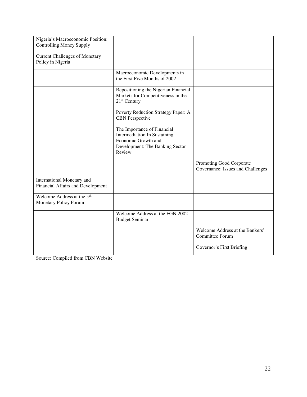| Nigeria's Macroeconomic Position:<br><b>Controlling Money Supply</b> |                                                                                                                                 |                                                               |
|----------------------------------------------------------------------|---------------------------------------------------------------------------------------------------------------------------------|---------------------------------------------------------------|
| <b>Current Challenges of Monetary</b><br>Policy in Nigeria           |                                                                                                                                 |                                                               |
|                                                                      | Macroeconomic Developments in<br>the First Five Months of 2002                                                                  |                                                               |
|                                                                      | Repositioning the Nigerian Financial<br>Markets for Competitiveness in the<br>21 <sup>st</sup> Century                          |                                                               |
|                                                                      | Poverty Reduction Strategy Paper: A<br><b>CBN</b> Perspective                                                                   |                                                               |
|                                                                      | The Importance of Financial<br>Intermediation In Sustaining<br>Economic Growth and<br>Development: The Banking Sector<br>Review |                                                               |
|                                                                      |                                                                                                                                 | Promoting Good Corporate<br>Governance: Issues and Challenges |
| International Monetary and<br>Financial Affairs and Development      |                                                                                                                                 |                                                               |
| Welcome Address at the 5 <sup>th</sup><br>Monetary Policy Forum      |                                                                                                                                 |                                                               |
|                                                                      | Welcome Address at the FGN 2002<br><b>Budget Seminar</b>                                                                        |                                                               |
|                                                                      |                                                                                                                                 | Welcome Address at the Bankers'<br><b>Committee Forum</b>     |
|                                                                      |                                                                                                                                 | Governor's First Briefing                                     |

Source: Compiled from CBN Website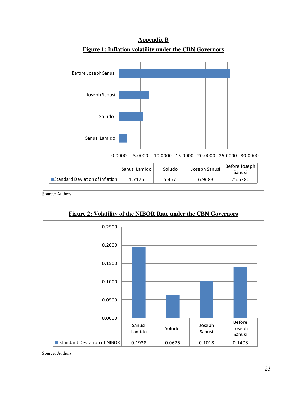

**Appendix B Figure 1: Inflation volatility under the CBN Governors** 

Source: Authors



**Figure 2: Volatility of the NIBOR Rate under the CBN Governors** 

Source: Authors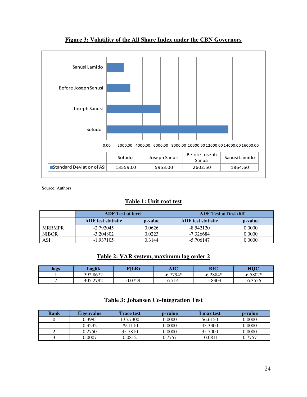

#### **Figure 3: Volatility of the All Share Index under the CBN Governors**

Source: Authors

#### **Table 1: Unit root test**

|               | <b>ADF</b> Test at level  |         | <b>ADF</b> Test at first diff |         |
|---------------|---------------------------|---------|-------------------------------|---------|
|               | <b>ADF</b> test statistic | p-value | <b>ADF</b> test statistic     | p-value |
| <b>MRRMPR</b> | $-2.792045$               | 0.0626  | $-8.542120$                   | 0.0000  |
| <b>NIBOR</b>  | $-3.204802$               | 0.0223  | $-7.326684$                   | 0.0000  |
| ASI           | $-1.937105$               | 0.3144  | $-5.706147$                   | 0.0000  |

#### **Table 2: VAR system, maximum lag order 2**

| lags | Loglik   | P(LR)  | $\sqrt{1}$<br>AIU | BIC         | <b>HOC</b>    |
|------|----------|--------|-------------------|-------------|---------------|
|      | 392.8672 |        | .7794*<br>--      | $-6.2884*$  | 5802*         |
|      | 405.2792 | 0.0729 | $-6.7141$         | 5.8303<br>- | 6.3556<br>-11 |

#### **Table 3: Johansen Co-integration Test**

| Rank | <b>Eigenvalue</b> | <b>Trace test</b> | <b>p</b> -value | <b>Lmax test</b> | <b>p</b> -value |
|------|-------------------|-------------------|-----------------|------------------|-----------------|
|      | 0.3995            | 135.7300          | 0.0000          | 56.6150          | 0.0000          |
|      | 0.3232            | 79.1110           | 0.0000          | 43.3300          | 0.0000          |
|      | 0.2750            | 35.7810           | 0.0000          | 35.7000          | 0.0000          |
|      | 0.0007            | 0.0812            | 0.7757          | 0.0811           | 0.7757          |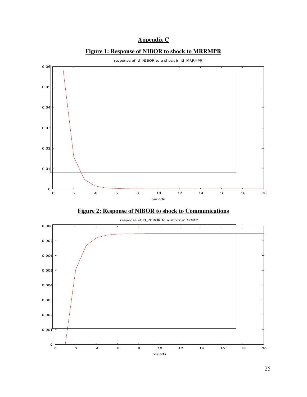#### **Appendix C**





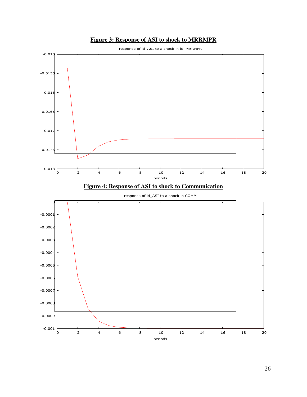



26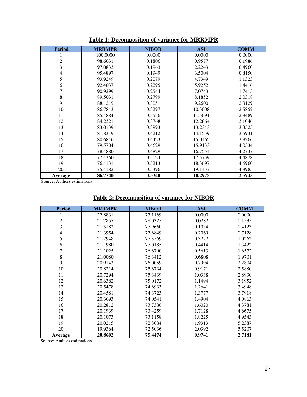| <b>Period</b>  | <b>MRRMPR</b> | <b>NIBOR</b> | <b>ASI</b> | <b>COMM</b> |
|----------------|---------------|--------------|------------|-------------|
|                | 100.0000      | 0.0000       | 0.0000     | 0.0000      |
| $\overline{c}$ | 98.6631       | 0.1806       | 0.9577     | 0.1986      |
| 3              | 97.0833       | 0.1963       | 2.2243     | 0.4960      |
| $\overline{4}$ | 95.4897       | 0.1949       | 3.5004     | 0.8150      |
| 5              | 93.9249       | 0.2079       | 4.7349     | 1.1323      |
| 6              | 92.4037       | 0.2295       | 5.9252     | 1.4416      |
| 7              | 90.9299       | 0.2544       | 7.0743     | 1.7415      |
| 8              | 89.5031       | 0.2799       | 8.1852     | 2.0318      |
| 9              | 88.1219       | 0.3051       | 9.2600     | 2.3129      |
| 10             | 86.7843       | 0.3297       | 10.3008    | 2.5852      |
| 11             | 85.4884       | 0.3536       | 11.3091    | 2.8489      |
| 12             | 84.2321       | 0.3768       | 12.2864    | 3.1046      |
| 13             | 83.0139       | 0.3993       | 13.2343    | 3.3525      |
| 14             | 81.8319       | 0.4212       | 14.1539    | 3.5931      |
| 15             | 80.6846       | 0.4423       | 15.0465    | 3.8266      |
| 16             | 79.5704       | 0.4629       | 15.9133    | 4.0534      |
| 17             | 78.4880       | 0.4829       | 16.7554    | 4.2737      |
| 18             | 77.4360       | 0.5024       | 17.5739    | 4.4878      |
| 19             | 76.4131       | 0.5213       | 18.3697    | 4.6960      |
| 20             | 75.4182       | 0.5396       | 19.1437    | 4.8985      |
| Average        | 86.7740       | 0.3340       | 10.2975    | 2.5945      |

Source: Authors estimations

| <b>Table 2: Decomposition of variance for NIBOR</b> |  |  |  |
|-----------------------------------------------------|--|--|--|
|                                                     |  |  |  |

| <b>Period</b>  | <b>MRRMPR</b> | <b>NIBOR</b> | <b>ASI</b> | <b>COMM</b> |
|----------------|---------------|--------------|------------|-------------|
|                | 22.8831       | 77.1169      | 0.0000     | 0.0000      |
| $\overline{2}$ | 21.7857       | 78.0325      | 0.0282     | 0.1535      |
| 3              | 21.5182       | 77.9660      | 0.1034     | 0.4123      |
| $\overline{4}$ | 21.3954       | 77.6849      | 0.2069     | 0.7128      |
| 5              | 21.2948       | 77.3569      | 0.3222     | 1.0262      |
| 6              | 21.1980       | 77.0185      | 0.4414     | 1.3422      |
| 7              | 21.1025       | 76.6790      | 0.5613     | 1.6572      |
| 8              | 21.0080       | 76.3412      | 0.6808     | 1.9701      |
| 9              | 20.9143       | 76.0059      | 0.7994     | 2.2804      |
| 10             | 20.8214       | 75.6734      | 0.9171     | 2.5880      |
| 11             | 20.7294       | 75.3439      | 1.0338     | 2.8930      |
| 12             | 20.6382       | 75.0172      | 1.1494     | 3.1952      |
| 13             | 20.5478       | 74.6933      | 1.2641     | 3.4948      |
| 14             | 20.4581       | 74.3723      | 1.3777     | 3.7918      |
| 15             | 20.3693       | 74.0541      | 1.4904     | 4.0863      |
| 16             | 20.2812       | 73.7386      | 1.6020     | 4.3781      |
| 17             | 20.1939       | 73.4259      | 1.7128     | 4.6675      |
| 18             | 20.1073       | 73.1158      | 1.8225     | 4.9543      |
| 19             | 20.0215       | 72.8084      | 1.9313     | 5.2387      |
| 20             | 19.9364       | 72.5036      | 2.0392     | 5.5207      |
| Average        | 20.8602       | 75.4474      | 0.9741     | 2.7181      |

Source: Authors estimations